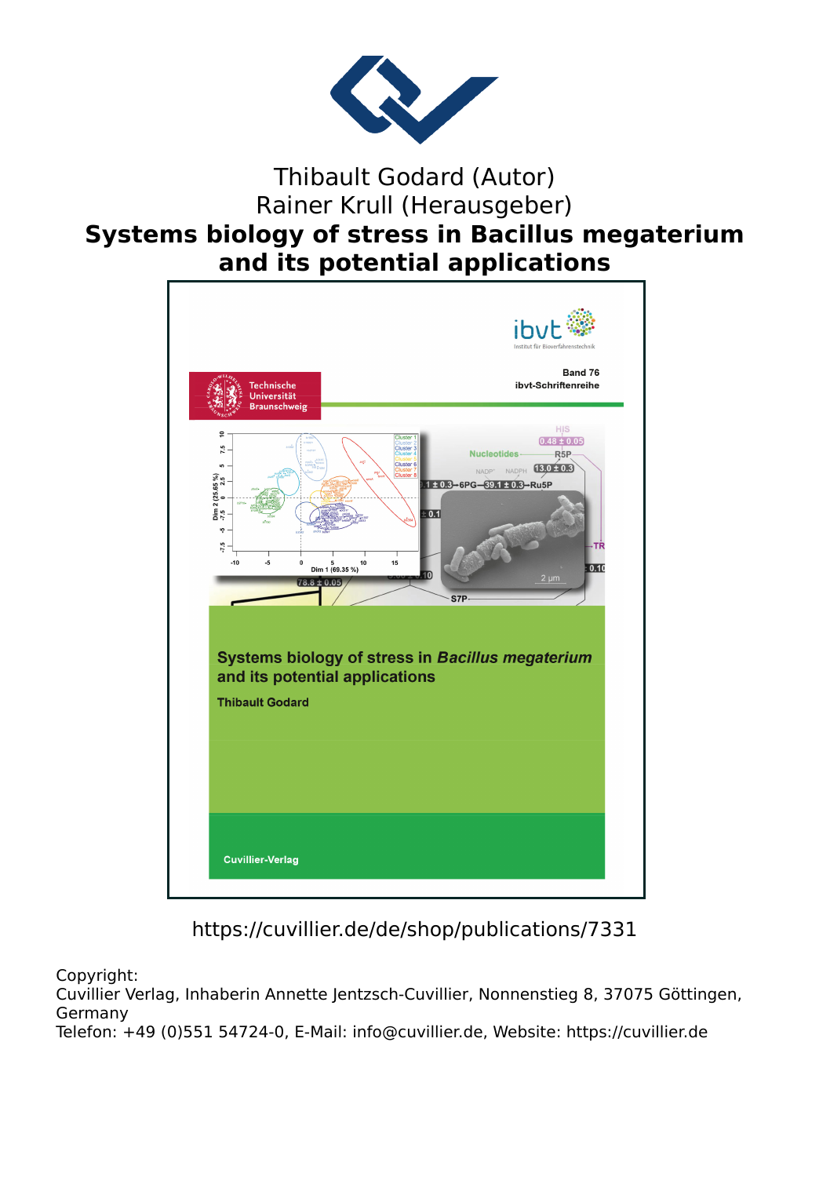

Thibault Godard (Autor) Rainer Krull (Herausgeber)

## **Systems biology of stress in Bacillus megaterium and its potential applications**



https://cuvillier.de/de/shop/publications/7331

Copyright:

Cuvillier Verlag, Inhaberin Annette Jentzsch-Cuvillier, Nonnenstieg 8, 37075 Göttingen, Germany

Telefon: +49 (0)551 54724-0, E-Mail: info@cuvillier.de, Website: https://cuvillier.de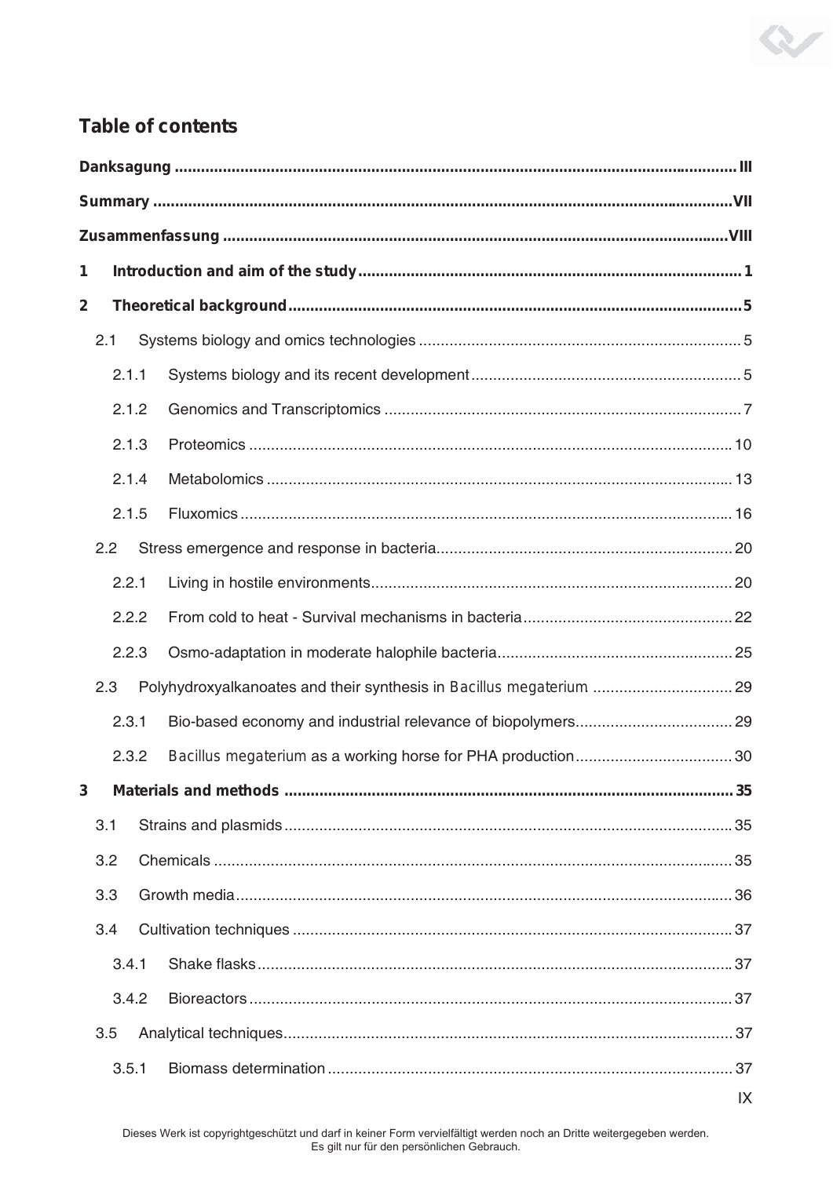## **Table of contents**

| 1                       |       |       |                                                                      |  |  |
|-------------------------|-------|-------|----------------------------------------------------------------------|--|--|
| $\overline{\mathbf{2}}$ |       |       |                                                                      |  |  |
| 2.1                     |       |       |                                                                      |  |  |
|                         |       | 2.1.1 |                                                                      |  |  |
|                         |       | 2.1.2 |                                                                      |  |  |
|                         |       | 2.1.3 |                                                                      |  |  |
|                         |       | 2.1.4 |                                                                      |  |  |
| 2.1.5                   |       |       |                                                                      |  |  |
|                         | 2.2   |       |                                                                      |  |  |
|                         |       | 2.2.1 |                                                                      |  |  |
|                         |       | 2.2.2 |                                                                      |  |  |
|                         |       | 2.2.3 |                                                                      |  |  |
|                         | 2.3   |       | Polyhydroxyalkanoates and their synthesis in Bacillus megaterium  29 |  |  |
|                         | 2.3.1 |       |                                                                      |  |  |
|                         | 2.3.2 |       |                                                                      |  |  |
| 3                       |       |       |                                                                      |  |  |
|                         | 3.1   |       |                                                                      |  |  |
|                         | 3.2   |       |                                                                      |  |  |
|                         | 3.3   |       |                                                                      |  |  |
|                         | 3.4   |       |                                                                      |  |  |
|                         |       | 3.4.1 |                                                                      |  |  |
|                         |       | 3.4.2 |                                                                      |  |  |
|                         | 3.5   |       |                                                                      |  |  |
|                         |       | 3.5.1 |                                                                      |  |  |

R

 $\overline{X}$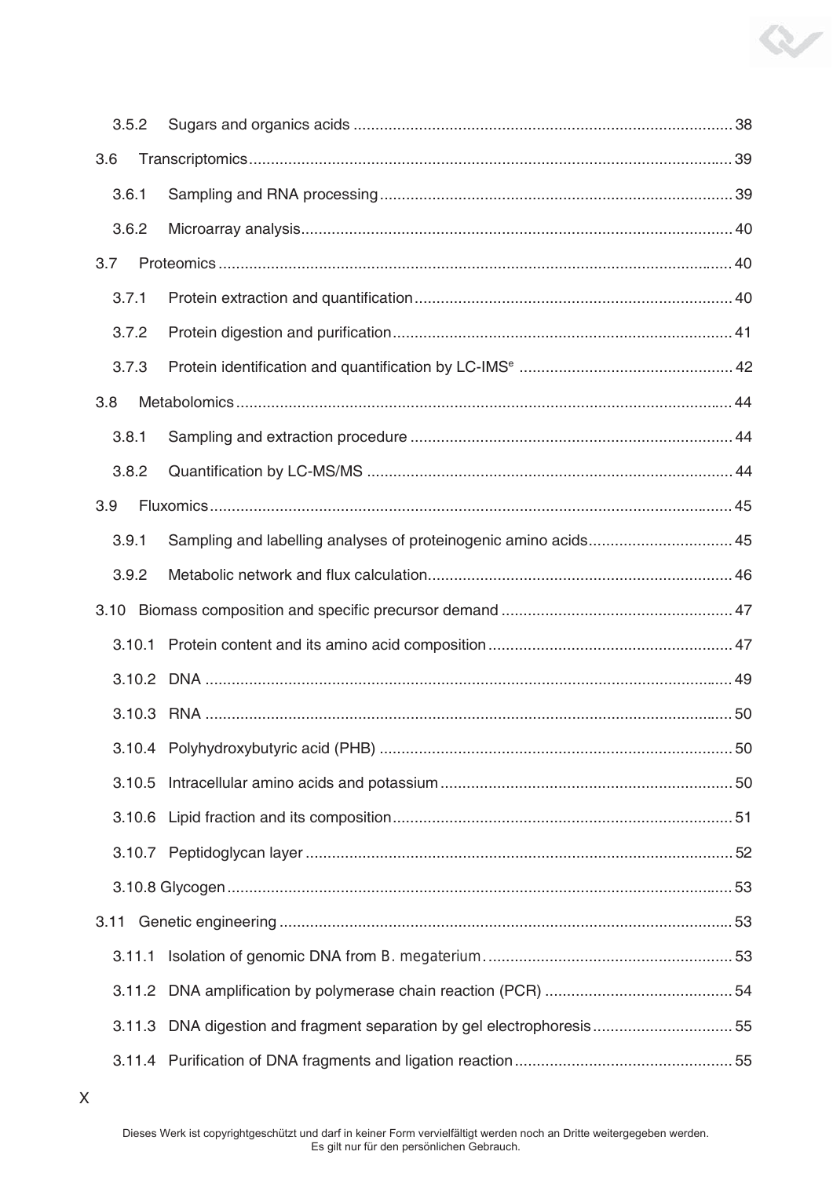